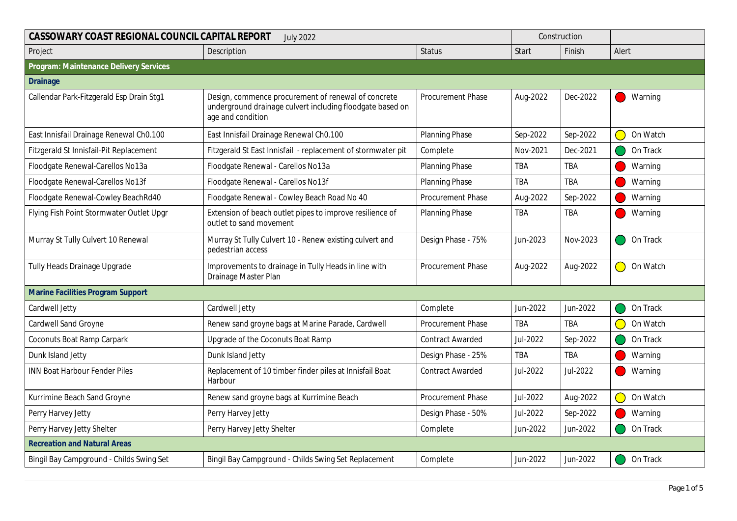| CASSOWARY COAST REGIONAL COUNCIL CAPITAL REPORT<br><b>July 2022</b> |                                                                                                                                       |                         |            | Construction |                        |
|---------------------------------------------------------------------|---------------------------------------------------------------------------------------------------------------------------------------|-------------------------|------------|--------------|------------------------|
| Project                                                             | Description                                                                                                                           | <b>Status</b>           | Start      | Finish       | Alert                  |
| Program: Maintenance Delivery Services                              |                                                                                                                                       |                         |            |              |                        |
| <b>Drainage</b>                                                     |                                                                                                                                       |                         |            |              |                        |
| Callendar Park-Fitzgerald Esp Drain Stg1                            | Design, commence procurement of renewal of concrete<br>underground drainage culvert including floodgate based on<br>age and condition | Procurement Phase       | Aug-2022   | Dec-2022     | Warning                |
| East Innisfail Drainage Renewal Ch0.100                             | East Innisfail Drainage Renewal Ch0.100                                                                                               | Planning Phase          | Sep-2022   | Sep-2022     | On Watch               |
| Fitzgerald St Innisfail-Pit Replacement                             | Fitzgerald St East Innisfail - replacement of stormwater pit                                                                          | Complete                | Nov-2021   | Dec-2021     | On Track               |
| Floodgate Renewal-Carellos No13a                                    | Floodgate Renewal - Carellos No13a                                                                                                    | <b>Planning Phase</b>   | <b>TBA</b> | <b>TBA</b>   | Warning                |
| Floodgate Renewal-Carellos No13f                                    | Floodgate Renewal - Carellos No13f                                                                                                    | <b>Planning Phase</b>   | <b>TBA</b> | TBA          | Warning                |
| Floodgate Renewal-Cowley BeachRd40                                  | Floodgate Renewal - Cowley Beach Road No 40                                                                                           | Procurement Phase       | Aug-2022   | Sep-2022     | Warning                |
| Flying Fish Point Stormwater Outlet Upgr                            | Extension of beach outlet pipes to improve resilience of<br>outlet to sand movement                                                   | <b>Planning Phase</b>   | <b>TBA</b> | TBA          | Warning                |
| Murray St Tully Culvert 10 Renewal                                  | Murray St Tully Culvert 10 - Renew existing culvert and<br>pedestrian access                                                          | Design Phase - 75%      | Jun-2023   | Nov-2023     | On Track               |
| Tully Heads Drainage Upgrade                                        | Improvements to drainage in Tully Heads in line with<br>Drainage Master Plan                                                          | Procurement Phase       | Aug-2022   | Aug-2022     | On Watch<br>$\bigcirc$ |
| Marine Facilities Program Support                                   |                                                                                                                                       |                         |            |              |                        |
| Cardwell Jetty                                                      | Cardwell Jetty                                                                                                                        | Complete                | Jun-2022   | Jun-2022     | On Track               |
| <b>Cardwell Sand Groyne</b>                                         | Renew sand groyne bags at Marine Parade, Cardwell                                                                                     | Procurement Phase       | <b>TBA</b> | TBA          | On Watch               |
| <b>Coconuts Boat Ramp Carpark</b>                                   | Upgrade of the Coconuts Boat Ramp                                                                                                     | <b>Contract Awarded</b> | Jul-2022   | Sep-2022     | On Track               |
| Dunk Island Jetty                                                   | Dunk Island Jetty                                                                                                                     | Design Phase - 25%      | <b>TBA</b> | <b>TBA</b>   | Warning                |
| <b>INN Boat Harbour Fender Piles</b>                                | Replacement of 10 timber finder piles at Innisfail Boat<br>Harbour                                                                    | <b>Contract Awarded</b> | Jul-2022   | Jul-2022     | Warning                |
| Kurrimine Beach Sand Groyne                                         | Renew sand groyne bags at Kurrimine Beach                                                                                             | Procurement Phase       | Jul-2022   | Aug-2022     | On Watch<br>$\bigcirc$ |
| Perry Harvey Jetty                                                  | Perry Harvey Jetty                                                                                                                    | Design Phase - 50%      | Jul-2022   | Sep-2022     | Warning                |
| Perry Harvey Jetty Shelter                                          | Perry Harvey Jetty Shelter                                                                                                            | Complete                | Jun-2022   | Jun-2022     | On Track               |
| <b>Recreation and Natural Areas</b>                                 |                                                                                                                                       |                         |            |              |                        |
| Bingil Bay Campground - Childs Swing Set                            | Bingil Bay Campground - Childs Swing Set Replacement                                                                                  | Complete                | Jun-2022   | Jun-2022     | On Track               |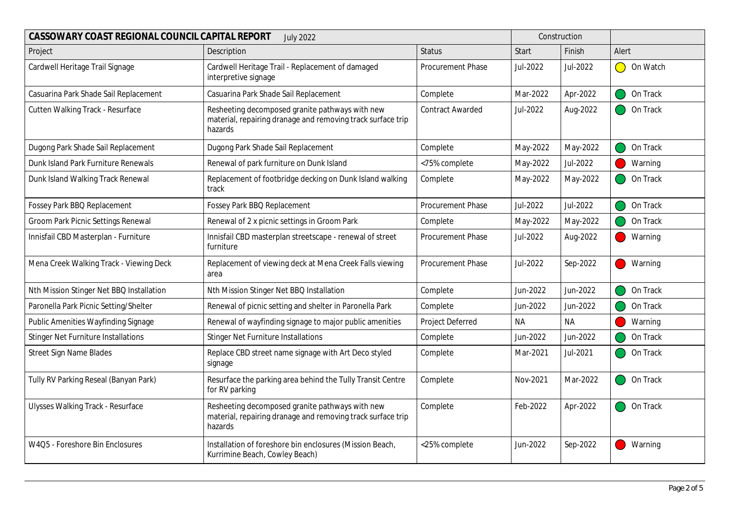| CASSOWARY COAST REGIONAL COUNCIL CAPITAL REPORT<br><b>July 2022</b> |                                                                                                                           |                         |          | Construction |                        |
|---------------------------------------------------------------------|---------------------------------------------------------------------------------------------------------------------------|-------------------------|----------|--------------|------------------------|
| Project                                                             | Description                                                                                                               | <b>Status</b>           | Start    | Finish       | Alert                  |
| Cardwell Heritage Trail Signage                                     | Cardwell Heritage Trail - Replacement of damaged<br>interpretive signage                                                  | Procurement Phase       | Jul-2022 | Jul-2022     | $\bigcirc$<br>On Watch |
| Casuarina Park Shade Sail Replacement                               | Casuarina Park Shade Sail Replacement                                                                                     | Complete                | Mar-2022 | Apr-2022     | On Track               |
| Cutten Walking Track - Resurface                                    | Resheeting decomposed granite pathways with new<br>material, repairing dranage and removing track surface trip<br>hazards | <b>Contract Awarded</b> | Jul-2022 | Aug-2022     | On Track               |
| Dugong Park Shade Sail Replacement                                  | Dugong Park Shade Sail Replacement                                                                                        | Complete                | May-2022 | May-2022     | On Track               |
| Dunk Island Park Furniture Renewals                                 | Renewal of park furniture on Dunk Island                                                                                  | <75% complete           | May-2022 | Jul-2022     | Warning                |
| Dunk Island Walking Track Renewal                                   | Replacement of footbridge decking on Dunk Island walking<br>track                                                         | Complete                | May-2022 | May-2022     | On Track               |
| Fossey Park BBQ Replacement                                         | Fossey Park BBQ Replacement                                                                                               | Procurement Phase       | Jul-2022 | Jul-2022     | On Track               |
| Groom Park Picnic Settings Renewal                                  | Renewal of 2 x picnic settings in Groom Park                                                                              | Complete                | May-2022 | May-2022     | On Track               |
| Innisfail CBD Masterplan - Furniture                                | Innisfail CBD masterplan streetscape - renewal of street<br>furniture                                                     | Procurement Phase       | Jul-2022 | Aug-2022     | Warning                |
| Mena Creek Walking Track - Viewing Deck                             | Replacement of viewing deck at Mena Creek Falls viewing<br>area                                                           | Procurement Phase       | Jul-2022 | Sep-2022     | Warning                |
| Nth Mission Stinger Net BBQ Installation                            | Nth Mission Stinger Net BBQ Installation                                                                                  | Complete                | Jun-2022 | Jun-2022     | On Track               |
| Paronella Park Picnic Setting/Shelter                               | Renewal of picnic setting and shelter in Paronella Park                                                                   | Complete                | Jun-2022 | Jun-2022     | On Track               |
| Public Amenities Wayfinding Signage                                 | Renewal of wayfinding signage to major public amenities                                                                   | Project Deferred        | NA.      | <b>NA</b>    | Warning                |
| <b>Stinger Net Furniture Installations</b>                          | <b>Stinger Net Furniture Installations</b>                                                                                | Complete                | Jun-2022 | Jun-2022     | On Track               |
| Street Sign Name Blades                                             | Replace CBD street name signage with Art Deco styled<br>signage                                                           | Complete                | Mar-2021 | Jul-2021     | On Track               |
| Tully RV Parking Reseal (Banyan Park)                               | Resurface the parking area behind the Tully Transit Centre<br>for RV parking                                              | Complete                | Nov-2021 | Mar-2022     | On Track               |
| <b>Ulysses Walking Track - Resurface</b>                            | Resheeting decomposed granite pathways with new<br>material, repairing dranage and removing track surface trip<br>hazards | Complete                | Feb-2022 | Apr-2022     | On Track               |
| W4Q5 - Foreshore Bin Enclosures                                     | Installation of foreshore bin enclosures (Mission Beach,<br>Kurrimine Beach, Cowley Beach)                                | <25% complete           | Jun-2022 | Sep-2022     | Warning                |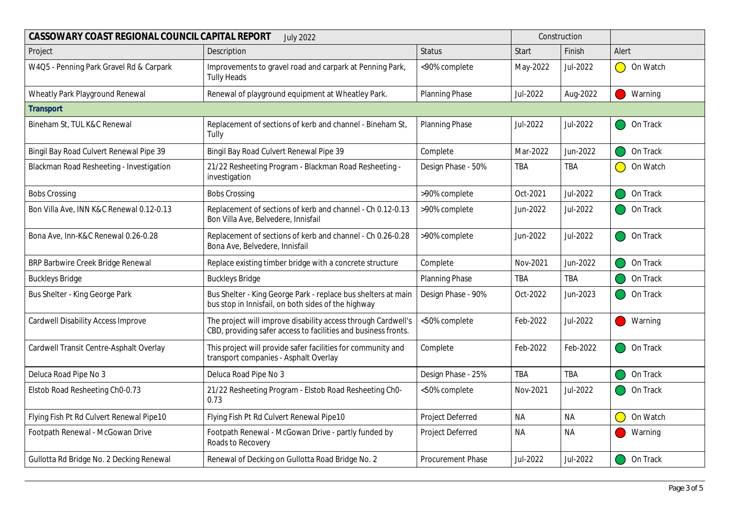| CASSOWARY COAST REGIONAL COUNCIL CAPITAL REPORT<br><b>July 2022</b> |                                                                                                                                 |                       |              | Construction |                       |
|---------------------------------------------------------------------|---------------------------------------------------------------------------------------------------------------------------------|-----------------------|--------------|--------------|-----------------------|
| Project                                                             | Description                                                                                                                     | <b>Status</b>         | <b>Start</b> | Finish       | Alert                 |
| W4Q5 - Penning Park Gravel Rd & Carpark                             | Improvements to gravel road and carpark at Penning Park,<br><b>Tully Heads</b>                                                  | <90% complete         | May-2022     | Jul-2022     | On Watch<br>$\bigcap$ |
| Wheatly Park Playground Renewal                                     | Renewal of playground equipment at Wheatley Park.                                                                               | Planning Phase        | Jul-2022     | Aug-2022     | Warning               |
| Transport                                                           |                                                                                                                                 |                       |              |              |                       |
| Bineham St, TUL K&C Renewal                                         | Replacement of sections of kerb and channel - Bineham St,<br>Tully                                                              | <b>Planning Phase</b> | Jul-2022     | Jul-2022     | On Track              |
| Bingil Bay Road Culvert Renewal Pipe 39                             | Bingil Bay Road Culvert Renewal Pipe 39                                                                                         | Complete              | Mar-2022     | Jun-2022     | On Track              |
| Blackman Road Resheeting - Investigation                            | 21/22 Resheeting Program - Blackman Road Resheeting -<br>investigation                                                          | Design Phase - 50%    | TBA          | TBA          | On Watch<br>$\bigcap$ |
| <b>Bobs Crossing</b>                                                | <b>Bobs Crossing</b>                                                                                                            | >90% complete         | Oct-2021     | Jul-2022     | On Track              |
| Bon Villa Ave, INN K&C Renewal 0.12-0.13                            | Replacement of sections of kerb and channel - Ch 0.12-0.13<br>Bon Villa Ave, Belvedere, Innisfail                               | >90% complete         | Jun-2022     | Jul-2022     | On Track              |
| Bona Ave, Inn-K&C Renewal 0.26-0.28                                 | Replacement of sections of kerb and channel - Ch 0.26-0.28<br>Bona Ave, Belvedere, Innisfail                                    | >90% complete         | Jun-2022     | Jul-2022     | On Track              |
| BRP Barbwire Creek Bridge Renewal                                   | Replace existing timber bridge with a concrete structure                                                                        | Complete              | Nov-2021     | Jun-2022     | On Track              |
| <b>Buckleys Bridge</b>                                              | <b>Buckleys Bridge</b>                                                                                                          | Planning Phase        | TBA          | TBA          | On Track              |
| Bus Shelter - King George Park                                      | Bus Shelter - King George Park - replace bus shelters at main<br>bus stop in Innisfail, on both sides of the highway            | Design Phase - 90%    | Oct-2022     | Jun-2023     | On Track              |
| <b>Cardwell Disability Access Improve</b>                           | The project will improve disability access through Cardwell's<br>CBD, providing safer access to facilities and business fronts. | <50% complete         | Feb-2022     | Jul-2022     | Warning               |
| Cardwell Transit Centre-Asphalt Overlay                             | This project will provide safer facilities for community and<br>transport companies - Asphalt Overlay                           | Complete              | Feb-2022     | Feb-2022     | On Track              |
| Deluca Road Pipe No 3                                               | Deluca Road Pipe No 3                                                                                                           | Design Phase - 25%    | <b>TBA</b>   | <b>TBA</b>   | On Track              |
| Elstob Road Resheeting Ch0-0.73                                     | 21/22 Resheeting Program - Elstob Road Resheeting Ch0-<br>0.73                                                                  | <50% complete         | Nov-2021     | Jul-2022     | On Track              |
| Flying Fish Pt Rd Culvert Renewal Pipe10                            | Flying Fish Pt Rd Culvert Renewal Pipe10                                                                                        | Project Deferred      | <b>NA</b>    | <b>NA</b>    | On Watch              |
| Footpath Renewal - McGowan Drive                                    | Footpath Renewal - McGowan Drive - partly funded by<br>Roads to Recovery                                                        | Project Deferred      | <b>NA</b>    | <b>NA</b>    | Warning               |
| Gullotta Rd Bridge No. 2 Decking Renewal                            | Renewal of Decking on Gullotta Road Bridge No. 2                                                                                | Procurement Phase     | Jul-2022     | Jul-2022     | On Track              |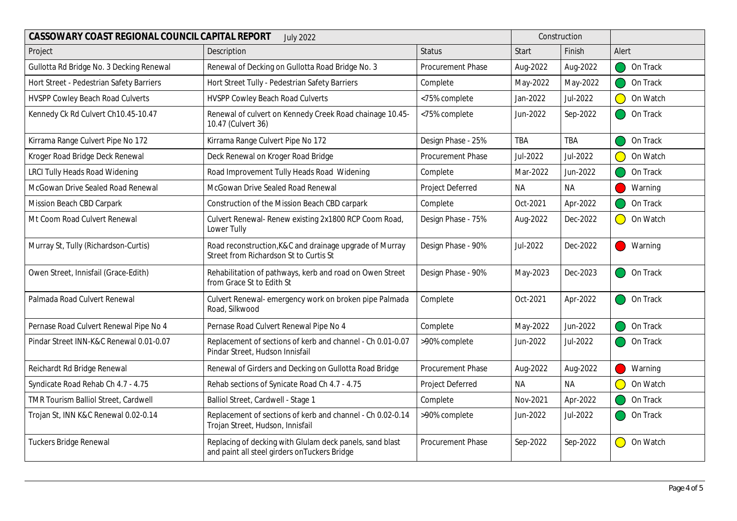| CASSOWARY COAST REGIONAL COUNCIL CAPITAL REPORT<br><b>July 2022</b> |                                                                                                           |                    |            | Construction |                                                           |
|---------------------------------------------------------------------|-----------------------------------------------------------------------------------------------------------|--------------------|------------|--------------|-----------------------------------------------------------|
| Project                                                             | Description                                                                                               | <b>Status</b>      | Start      | Finish       | Alert                                                     |
| Gullotta Rd Bridge No. 3 Decking Renewal                            | Renewal of Decking on Gullotta Road Bridge No. 3                                                          | Procurement Phase  | Aug-2022   | Aug-2022     | On Track                                                  |
| Hort Street - Pedestrian Safety Barriers                            | Hort Street Tully - Pedestrian Safety Barriers                                                            | Complete           | May-2022   | May-2022     | On Track                                                  |
| <b>HVSPP Cowley Beach Road Culverts</b>                             | HVSPP Cowley Beach Road Culverts                                                                          | <75% complete      | Jan-2022   | Jul-2022     | On Watch                                                  |
| Kennedy Ck Rd Culvert Ch10.45-10.47                                 | Renewal of culvert on Kennedy Creek Road chainage 10.45-<br>10.47 (Culvert 36)                            | <75% complete      | Jun-2022   | Sep-2022     | On Track                                                  |
| Kirrama Range Culvert Pipe No 172                                   | Kirrama Range Culvert Pipe No 172                                                                         | Design Phase - 25% | <b>TBA</b> | <b>TBA</b>   | On Track                                                  |
| Kroger Road Bridge Deck Renewal                                     | Deck Renewal on Kroger Road Bridge                                                                        | Procurement Phase  | Jul-2022   | Jul-2022     | On Watch                                                  |
| <b>LRCI Tully Heads Road Widening</b>                               | Road Improvement Tully Heads Road Widening                                                                | Complete           | Mar-2022   | Jun-2022     | On Track                                                  |
| McGowan Drive Sealed Road Renewal                                   | McGowan Drive Sealed Road Renewal                                                                         | Project Deferred   | NA         | <b>NA</b>    | Warning                                                   |
| Mission Beach CBD Carpark                                           | Construction of the Mission Beach CBD carpark                                                             | Complete           | Oct-2021   | Apr-2022     | On Track                                                  |
| Mt Coom Road Culvert Renewal                                        | Culvert Renewal- Renew existing 2x1800 RCP Coom Road,<br>Lower Tully                                      | Design Phase - 75% | Aug-2022   | Dec-2022     | On Watch<br>$\overline{\phantom{0}}$                      |
| Murray St, Tully (Richardson-Curtis)                                | Road reconstruction, K&C and drainage upgrade of Murray<br>Street from Richardson St to Curtis St         | Design Phase - 90% | Jul-2022   | Dec-2022     | Warning                                                   |
| Owen Street, Innisfail (Grace-Edith)                                | Rehabilitation of pathways, kerb and road on Owen Street<br>from Grace St to Edith St                     | Design Phase - 90% | May-2023   | Dec-2023     | On Track                                                  |
| Palmada Road Culvert Renewal                                        | Culvert Renewal- emergency work on broken pipe Palmada<br>Road, Silkwood                                  | Complete           | Oct-2021   | Apr-2022     | On Track                                                  |
| Pernase Road Culvert Renewal Pipe No 4                              | Pernase Road Culvert Renewal Pipe No 4                                                                    | Complete           | May-2022   | Jun-2022     | On Track                                                  |
| Pindar Street INN-K&C Renewal 0.01-0.07                             | Replacement of sections of kerb and channel - Ch 0.01-0.07<br>Pindar Street, Hudson Innisfail             | >90% complete      | Jun-2022   | Jul-2022     | On Track                                                  |
| Reichardt Rd Bridge Renewal                                         | Renewal of Girders and Decking on Gullotta Road Bridge                                                    | Procurement Phase  | Aug-2022   | Aug-2022     | Warning                                                   |
| Syndicate Road Rehab Ch 4.7 - 4.75                                  | Rehab sections of Synicate Road Ch 4.7 - 4.75                                                             | Project Deferred   | NA.        | <b>NA</b>    | On Watch                                                  |
| TMR Tourism Balliol Street, Cardwell                                | Balliol Street, Cardwell - Stage 1                                                                        | Complete           | Nov-2021   | Apr-2022     | On Track                                                  |
| Trojan St, INN K&C Renewal 0.02-0.14                                | Replacement of sections of kerb and channel - Ch 0.02-0.14<br>Trojan Street, Hudson, Innisfail            | >90% complete      | Jun-2022   | Jul-2022     | On Track                                                  |
| Tuckers Bridge Renewal                                              | Replacing of decking with Glulam deck panels, sand blast<br>and paint all steel girders on Tuckers Bridge | Procurement Phase  | Sep-2022   | Sep-2022     | On Watch<br>$\left( \begin{array}{c} \end{array} \right)$ |